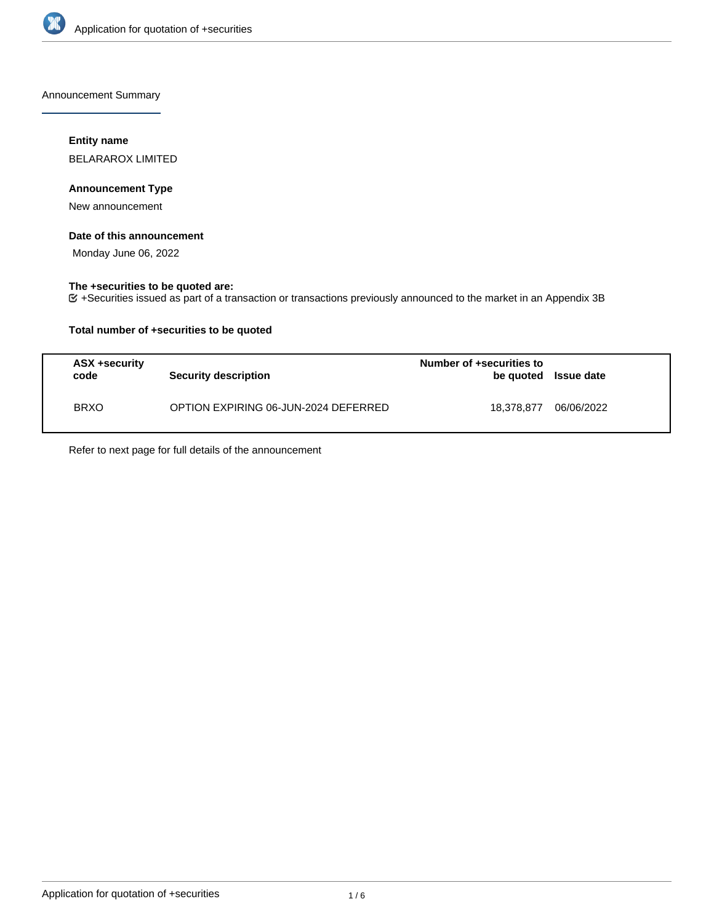

Announcement Summary

# **Entity name**

BELARAROX LIMITED

### **Announcement Type**

New announcement

# **Date of this announcement**

Monday June 06, 2022

# **The +securities to be quoted are:**

+Securities issued as part of a transaction or transactions previously announced to the market in an Appendix 3B

# **Total number of +securities to be quoted**

| ASX +security<br>code | Security description                 | Number of +securities to<br>be quoted Issue date |            |
|-----------------------|--------------------------------------|--------------------------------------------------|------------|
| <b>BRXO</b>           | OPTION EXPIRING 06-JUN-2024 DEFERRED | 18.378.877                                       | 06/06/2022 |

Refer to next page for full details of the announcement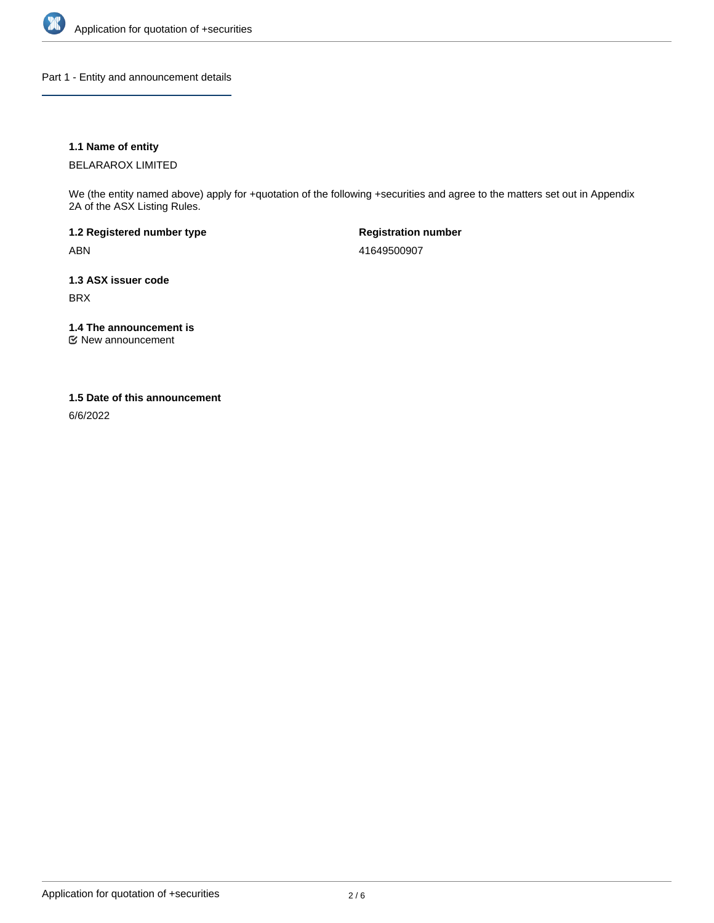

Part 1 - Entity and announcement details

# **1.1 Name of entity**

BELARAROX LIMITED

We (the entity named above) apply for +quotation of the following +securities and agree to the matters set out in Appendix 2A of the ASX Listing Rules.

**1.2 Registered number type** ABN

**Registration number** 41649500907

**1.3 ASX issuer code** BRX

**1.4 The announcement is**

New announcement

### **1.5 Date of this announcement**

6/6/2022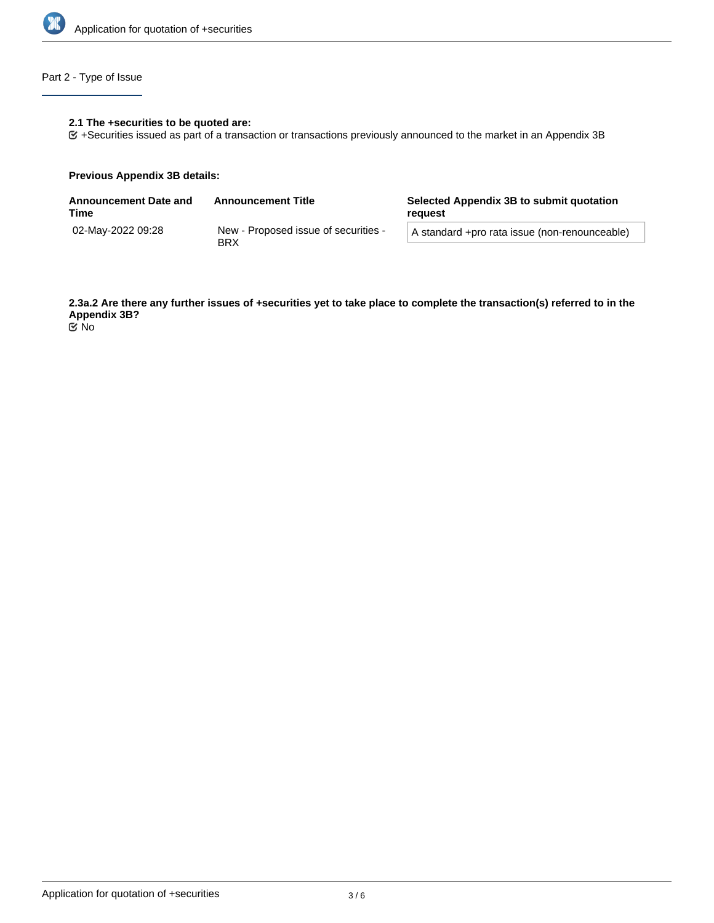

# Part 2 - Type of Issue

# **2.1 The +securities to be quoted are:**

+Securities issued as part of a transaction or transactions previously announced to the market in an Appendix 3B

#### **Previous Appendix 3B details:**

| <b>Announcement Date and</b><br>Time | <b>Announcement Title</b>                          | Selected Appendix 3B to submit quotation<br>reauest |  |
|--------------------------------------|----------------------------------------------------|-----------------------------------------------------|--|
| 02-Mav-2022 09:28                    | New - Proposed issue of securities -<br><b>BRX</b> | A standard +pro rata issue (non-renounceable)       |  |

**2.3a.2 Are there any further issues of +securities yet to take place to complete the transaction(s) referred to in the Appendix 3B?** No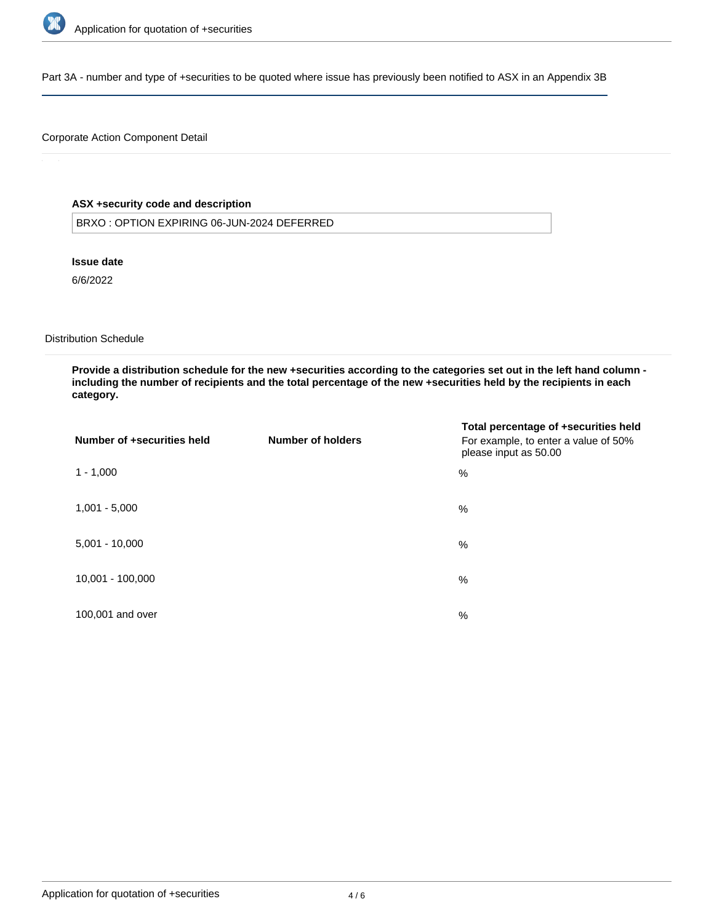

Part 3A - number and type of +securities to be quoted where issue has previously been notified to ASX in an Appendix 3B

# Corporate Action Component Detail

# **ASX +security code and description**

BRXO : OPTION EXPIRING 06-JUN-2024 DEFERRED

**Issue date**

6/6/2022

Distribution Schedule

**Provide a distribution schedule for the new +securities according to the categories set out in the left hand column including the number of recipients and the total percentage of the new +securities held by the recipients in each category.**

| Number of +securities held | Number of holders | Total percentage of +securities held<br>For example, to enter a value of 50%<br>please input as 50.00 |
|----------------------------|-------------------|-------------------------------------------------------------------------------------------------------|
| $1 - 1,000$                |                   | %                                                                                                     |
| $1,001 - 5,000$            |                   | %                                                                                                     |
| $5,001 - 10,000$           |                   | %                                                                                                     |
| 10,001 - 100,000           |                   | %                                                                                                     |
| 100,001 and over           |                   | %                                                                                                     |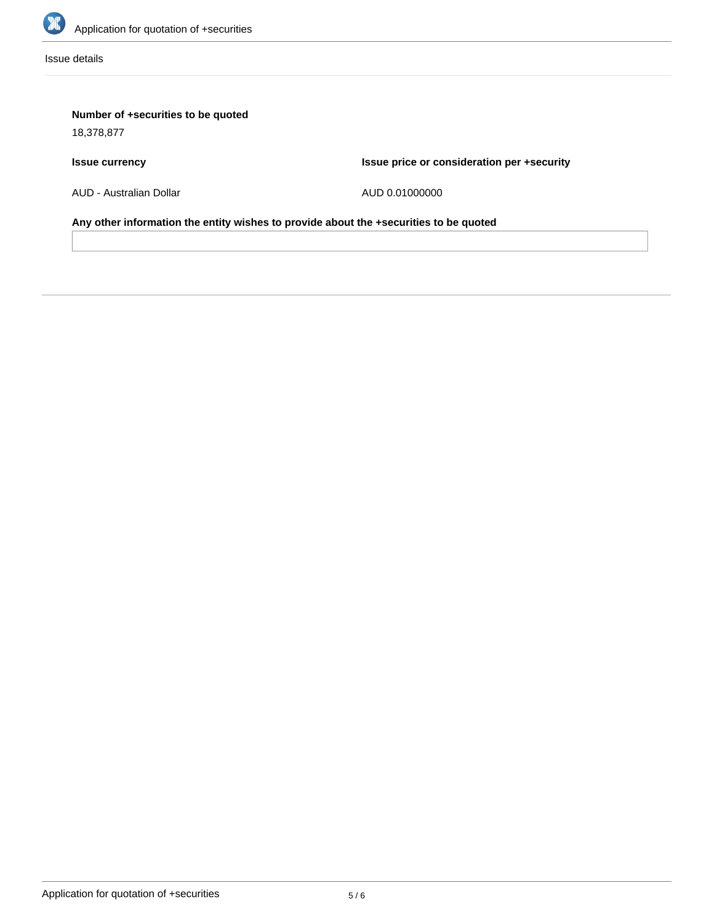

Issue details

# **Number of +securities to be quoted**

18,378,877

# **Issue currency**

**Issue price or consideration per +security**

AUD - Australian Dollar

AUD 0.01000000

**Any other information the entity wishes to provide about the +securities to be quoted**